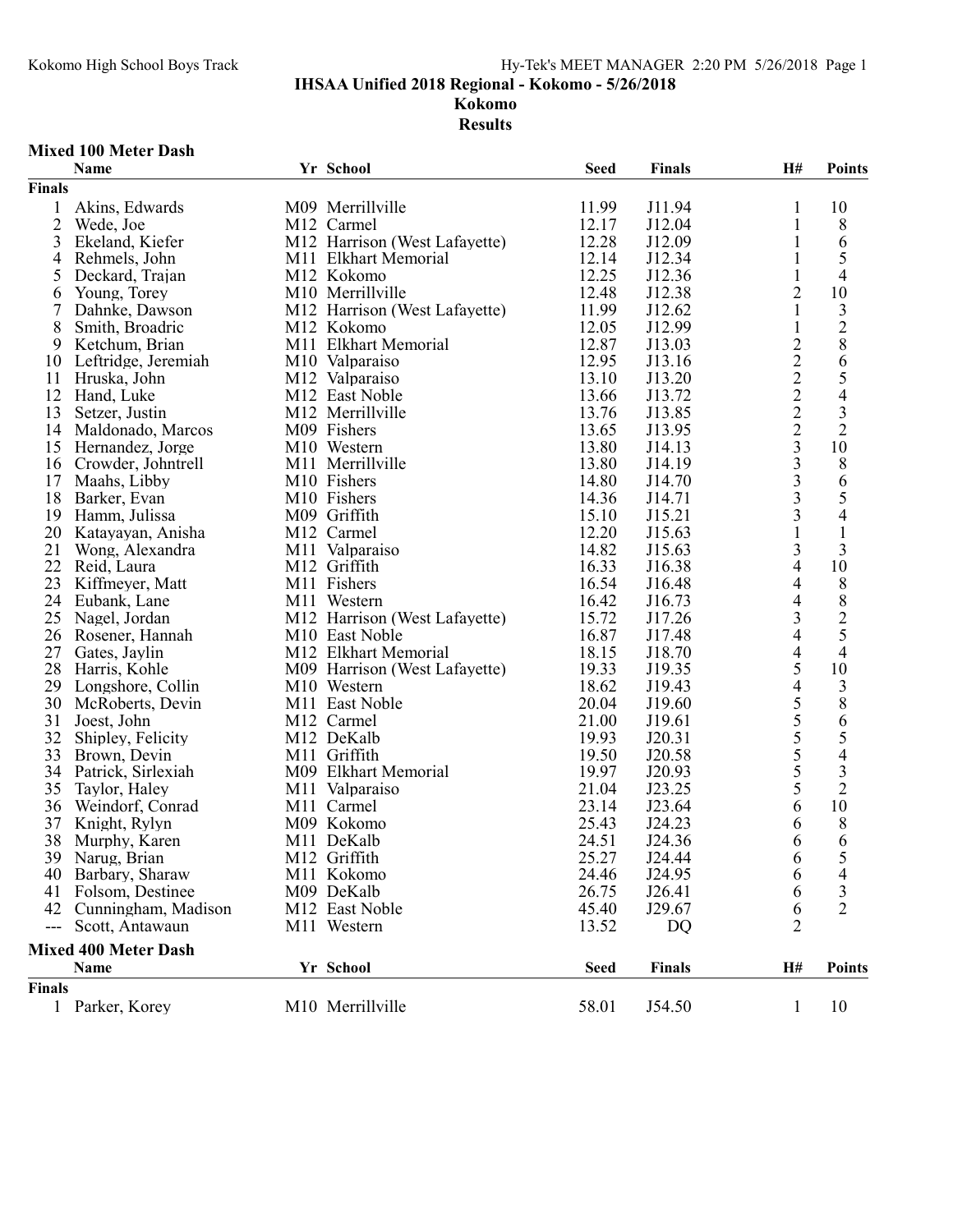IHSAA Unified 2018 Regional - Kokomo - 5/26/2018

Kokomo

Results

## Mixed 100 Meter Dash

|                | Name                        | Yr School                     | <b>Seed</b> | Finals        | H#                                         | <b>Points</b>                         |
|----------------|-----------------------------|-------------------------------|-------------|---------------|--------------------------------------------|---------------------------------------|
| <b>Finals</b>  |                             |                               |             |               |                                            |                                       |
| 1              | Akins, Edwards              | M09 Merrillville              | 11.99       | J11.94        | 1                                          | 10                                    |
| $\overline{2}$ | Wede, Joe                   | M12 Carmel                    | 12.17       | J12.04        | 1                                          | 8                                     |
| 3              | Ekeland, Kiefer             | M12 Harrison (West Lafayette) | 12.28       | J12.09        | 1                                          | 6                                     |
| 4              | Rehmels, John               | M11 Elkhart Memorial          | 12.14       | J12.34        | 1                                          | 5                                     |
| 5              | Deckard, Trajan             | M12 Kokomo                    | 12.25       | J12.36        | 1                                          | 4                                     |
| 6              | Young, Torey                | M10 Merrillville              | 12.48       | J12.38        | $\overline{2}$                             | 10                                    |
| 7              | Dahnke, Dawson              | M12 Harrison (West Lafayette) | 11.99       | J12.62        | 1                                          |                                       |
| 8              | Smith, Broadric             | M12 Kokomo                    | 12.05       | J12.99        | $\mathbf{1}$                               | $\frac{3}{2}$                         |
| 9              | Ketchum, Brian              | M11 Elkhart Memorial          | 12.87       | J13.03        |                                            |                                       |
| 10             | Leftridge, Jeremiah         | M10 Valparaiso                | 12.95       | J13.16        | $\begin{array}{c} 2 \\ 2 \\ 2 \end{array}$ |                                       |
| 11             | Hruska, John                | M12 Valparaiso                | 13.10       | J13.20        |                                            | $rac{6}{5}$                           |
| 12             | Hand, Luke                  | M12 East Noble                | 13.66       | J13.72        |                                            |                                       |
| 13             | Setzer, Justin              | M12 Merrillville              | 13.76       | J13.85        | $\overline{2}$                             |                                       |
| 14             | Maldonado, Marcos           | M09 Fishers                   | 13.65       | J13.95        |                                            | $\frac{3}{2}$                         |
| 15             | Hernandez, Jorge            | M10 Western                   | 13.80       | J14.13        | $\frac{2}{3}$                              | 10                                    |
| 16             |                             | M11 Merrillville              | 13.80       | J14.19        | 3                                          |                                       |
|                | Crowder, Johntrell          |                               |             |               | $\overline{3}$                             | 8                                     |
| 17             | Maahs, Libby                | M10 Fishers                   | 14.80       | J14.70        | $\overline{3}$                             | $\begin{array}{c} 6 \\ 5 \end{array}$ |
| 18             | Barker, Evan                | M10 Fishers                   | 14.36       | J14.71        | 3                                          |                                       |
| 19             | Hamm, Julissa               | M09 Griffith                  | 15.10       | J15.21        |                                            | $\overline{4}$                        |
| 20             | Katayayan, Anisha           | M12 Carmel                    | 12.20       | J15.63        | $\mathbf{1}$                               | $\mathbf{1}$                          |
| 21             | Wong, Alexandra             | M11 Valparaiso                | 14.82       | J15.63        | 3                                          | 3                                     |
| 22             | Reid, Laura                 | M12 Griffith                  | 16.33       | J16.38        | $\overline{4}$                             | 10                                    |
| 23             | Kiffmeyer, Matt             | M11 Fishers                   | 16.54       | J16.48        | $\overline{4}$                             | 8825                                  |
| 24             | Eubank, Lane                | M11 Western                   | 16.42       | J16.73        | 4                                          |                                       |
| 25             | Nagel, Jordan               | M12 Harrison (West Lafayette) | 15.72       | J17.26        | 3                                          |                                       |
| 26             | Rosener, Hannah             | M10 East Noble                | 16.87       | J17.48        | $\overline{4}$                             |                                       |
| 27             | Gates, Jaylin               | M12 Elkhart Memorial          | 18.15       | J18.70        | $\overline{4}$                             | $\overline{4}$                        |
| 28             | Harris, Kohle               | M09 Harrison (West Lafayette) | 19.33       | J19.35        | 5                                          | 10                                    |
| 29             | Longshore, Collin           | M10 Western                   | 18.62       | J19.43        | $\overline{4}$                             | $\frac{3}{8}$                         |
| 30             | McRoberts, Devin            | M11 East Noble                | 20.04       | J19.60        | 5                                          |                                       |
| 31             | Joest, John                 | M12 Carmel                    | 21.00       | J19.61        | 5                                          | 6                                     |
| 32             | Shipley, Felicity           | M12 DeKalb                    | 19.93       | J20.31        | 5                                          | 5                                     |
| 33             | Brown, Devin                | M11 Griffith                  | 19.50       | J20.58        | $rac{5}{5}$                                | $\overline{4}$                        |
| 34             | Patrick, Sirlexiah          | M09 Elkhart Memorial          | 19.97       | J20.93        |                                            | $\frac{3}{2}$                         |
| 35             | Taylor, Haley               | M11 Valparaiso                | 21.04       | J23.25        | 5                                          |                                       |
| 36             | Weindorf, Conrad            | M11 Carmel                    | 23.14       | J23.64        | 6                                          | 10                                    |
| 37             | Knight, Rylyn               | M09 Kokomo                    | 25.43       | J24.23        | 6                                          | 8                                     |
| 38             | Murphy, Karen               | M11 DeKalb                    | 24.51       | J24.36        | 6                                          | 6                                     |
|                | 39 Narug, Brian             | M12 Griffith                  | 25.27       | J24.44        | 6                                          | 5                                     |
|                | 40 Barbary, Sharaw          | M11 Kokomo                    | 24.46       | J24.95        | 6                                          | 4                                     |
| 41             | Folsom, Destinee            | M09 DeKalb                    | 26.75       | J26.41        | 6                                          | $\frac{3}{2}$                         |
| 42             | Cunningham, Madison         | M12 East Noble                | 45.40       | J29.67        | 6                                          |                                       |
| $---$          | Scott, Antawaun             | M11 Western                   | 13.52       | DQ            | $\overline{2}$                             |                                       |
|                | <b>Mixed 400 Meter Dash</b> |                               |             |               |                                            |                                       |
|                | Name                        | Yr School                     | <b>Seed</b> | <b>Finals</b> | H#                                         | <b>Points</b>                         |
| Finals         |                             |                               |             |               |                                            |                                       |
|                | 1 Parker, Korey             | M10 Merrillville              | 58.01       | J54.50        | 1                                          | 10                                    |
|                |                             |                               |             |               |                                            |                                       |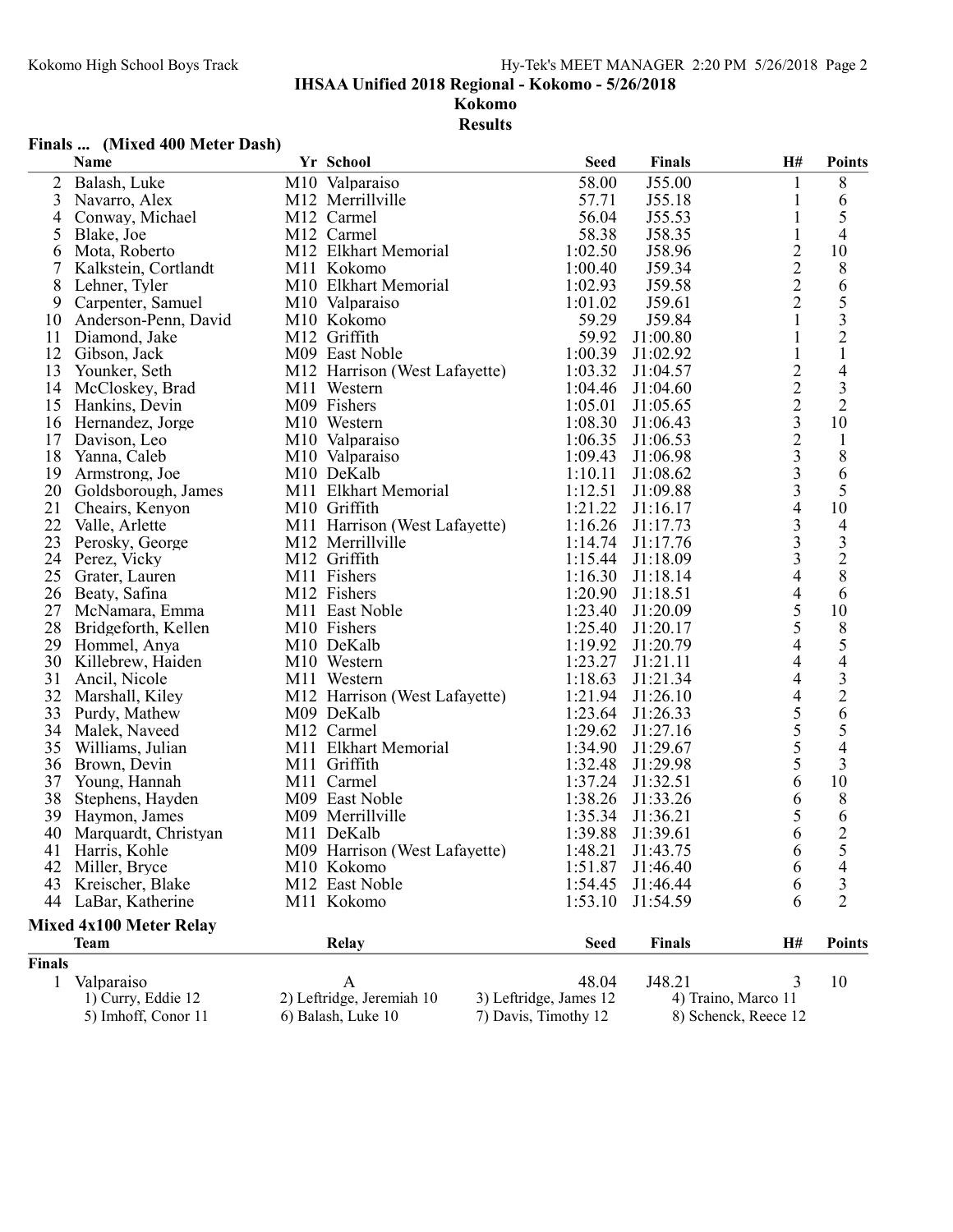IHSAA Unified 2018 Regional - Kokomo - 5/26/2018

Kokomo

Results

# Finals ... (Mixed 400 Meter Dash)

|                                | Name                 |  | Yr School                     | <b>Seed</b>            | <b>Finals</b> | H#                                         | <b>Points</b>           |
|--------------------------------|----------------------|--|-------------------------------|------------------------|---------------|--------------------------------------------|-------------------------|
| 2                              | Balash, Luke         |  | M10 Valparaiso                | 58.00                  | J55.00        |                                            | 8                       |
| 3                              | Navarro, Alex        |  | M12 Merrillville              | 57.71                  | J55.18        | 1                                          | 6                       |
| 4                              | Conway, Michael      |  | M12 Carmel                    | 56.04                  | J55.53        | $\mathbf{1}$                               | $\mathfrak{S}$          |
| 5                              | Blake, Joe           |  | M12 Carmel                    | 58.38                  | J58.35        | $\mathbf{1}$                               | $\overline{4}$          |
| 6                              | Mota, Roberto        |  | M12 Elkhart Memorial          | 1:02.50                | J58.96        | $\overline{c}$                             | 10                      |
| 7                              | Kalkstein, Cortlandt |  | M11 Kokomo                    | 1:00.40                | J59.34        | $\frac{2}{2}$                              | 8                       |
| 8                              | Lehner, Tyler        |  | M10 Elkhart Memorial          | 1:02.93                | J59.58        |                                            | 6                       |
| 9                              | Carpenter, Samuel    |  | M10 Valparaiso                | 1:01.02                | J59.61        |                                            | 5                       |
| 10                             | Anderson-Penn, David |  | M10 Kokomo                    | 59.29                  | J59.84        | $\mathbf{1}$                               | $\overline{\mathbf{3}}$ |
| 11                             | Diamond, Jake        |  | M12 Griffith                  | 59.92                  | J1:00.80      | 1                                          | $\sqrt{2}$              |
| 12                             | Gibson, Jack         |  | M09 East Noble                | 1:00.39                | J1:02.92      | $\mathbf{1}$                               | $\mathbf{1}$            |
| 13                             | Younker, Seth        |  | M12 Harrison (West Lafayette) | 1:03.32                | J1:04.57      |                                            | 4                       |
| 14                             | McCloskey, Brad      |  | M11 Western                   | 1:04.46                | J1:04.60      |                                            | $\mathfrak{Z}$          |
| 15                             | Hankins, Devin       |  | M09 Fishers                   | 1:05.01                | J1:05.65      | $\frac{2}{2}$<br>$\frac{2}{3}$             | $\overline{2}$          |
| 16                             | Hernandez, Jorge     |  | M10 Western                   | 1:08.30                | J1:06.43      |                                            | 10                      |
| 17                             | Davison, Leo         |  | M10 Valparaiso                | 1:06.35                | J1:06.53      | $\begin{array}{c} 2 \\ 3 \\ 3 \end{array}$ | $\mathbf{1}$            |
| 18                             | Yanna, Caleb         |  | M10 Valparaiso                | 1:09.43                | J1:06.98      |                                            | $\,8\,$                 |
| 19                             | Armstrong, Joe       |  | M10 DeKalb                    | 1:10.11                | J1:08.62      |                                            | 6                       |
| 20                             | Goldsborough, James  |  | M11 Elkhart Memorial          | 1:12.51                | J1:09.88      | $\overline{3}$                             | 5                       |
| 21                             | Cheairs, Kenyon      |  | M10 Griffith                  | 1:21.22                | J1:16.17      | $\overline{4}$                             | 10                      |
| 22                             | Valle, Arlette       |  | M11 Harrison (West Lafayette) | 1:16.26                | J1:17.73      | $\overline{\mathbf{3}}$                    | 4                       |
| 23                             | Perosky, George      |  | M12 Merrillville              | 1:14.74                | J1:17.76      | $\frac{3}{3}$                              | $\mathfrak{Z}$          |
| 24                             | Perez, Vicky         |  | M12 Griffith                  | 1:15.44                | J1:18.09      |                                            | $\overline{2}$          |
| 25                             | Grater, Lauren       |  | M11 Fishers                   | 1:16.30                | J1:18.14      | $\overline{4}$                             | 8                       |
| 26                             | Beaty, Safina        |  | M12 Fishers                   | 1:20.90                | J1:18.51      | $\overline{4}$                             | 6                       |
| 27                             | McNamara, Emma       |  | M11 East Noble                | 1:23.40                | J1:20.09      | 5                                          | 10                      |
| 28                             | Bridgeforth, Kellen  |  | M10 Fishers                   | 1:25.40                | J1:20.17      | 5                                          | $8\,$                   |
| 29                             | Hommel, Anya         |  | M10 DeKalb                    | 1:19.92                | J1:20.79      | 4                                          | 5                       |
| 30                             | Killebrew, Haiden    |  | M10 Western                   | 1:23.27                | J1:21.11      | $\overline{4}$                             | 4                       |
| 31                             | Ancil, Nicole        |  | M11 Western                   | 1:18.63                | J1:21.34      | $\overline{4}$                             | $\overline{\mathbf{3}}$ |
| 32                             | Marshall, Kiley      |  | M12 Harrison (West Lafayette) | 1:21.94                | J1:26.10      | $\overline{4}$                             | $\overline{c}$          |
| 33                             | Purdy, Mathew        |  | M09 DeKalb                    | 1:23.64                | J1:26.33      | 5                                          | 6                       |
| 34                             | Malek, Naveed        |  | M12 Carmel                    | 1:29.62                | J1:27.16      | 5                                          | 5                       |
| 35                             | Williams, Julian     |  | M11 Elkhart Memorial          | 1:34.90                | J1:29.67      | $\overline{5}$                             | $\overline{4}$          |
| 36                             | Brown, Devin         |  | M11 Griffith                  | 1:32.48                | J1:29.98      | 5                                          | 3                       |
| 37                             | Young, Hannah        |  | M11 Carmel                    | 1:37.24                | J1:32.51      | 6                                          | 10                      |
| 38                             | Stephens, Hayden     |  | M09 East Noble                | 1:38.26                | J1:33.26      | 6                                          | 8                       |
| 39                             | Haymon, James        |  | M09 Merrillville              | 1:35.34                | J1:36.21      | 5                                          | 6                       |
| 40                             | Marquardt, Christyan |  | M11 DeKalb                    | 1:39.88                | J1:39.61      | 6                                          | $\overline{2}$          |
|                                | 41 Harris, Kohle     |  | M09 Harrison (West Lafayette) | 1:48.21                | J1:43.75      | 6                                          | 5                       |
| 42                             | Miller, Bryce        |  | M10 Kokomo                    | 1:51.87                | J1:46.40      | 6                                          | 4                       |
| 43                             | Kreischer, Blake     |  | M12 East Noble                | 1:54.45                | J1:46.44      | 6                                          | 3                       |
| 44                             | LaBar, Katherine     |  | M11 Kokomo                    | 1:53.10                | J1:54.59      | 6                                          | $\overline{2}$          |
| <b>Mixed 4x100 Meter Relay</b> |                      |  |                               |                        |               |                                            |                         |
|                                | <b>Team</b>          |  | Relay                         | <b>Seed</b>            | <b>Finals</b> | H#                                         | <b>Points</b>           |
| <b>Finals</b>                  |                      |  |                               |                        |               |                                            |                         |
| $\mathbf{1}$                   | Valparaiso           |  | A                             | 48.04                  | J48.21        | $\mathfrak{Z}$                             | 10                      |
|                                | 1) Curry, Eddie 12   |  | 2) Leftridge, Jeremiah 10     | 3) Leftridge, James 12 |               | 4) Traino, Marco 11                        |                         |
|                                | 5) Imhoff, Conor 11  |  | 6) Balash, Luke 10            | 7) Davis, Timothy 12   |               | 8) Schenck, Reece 12                       |                         |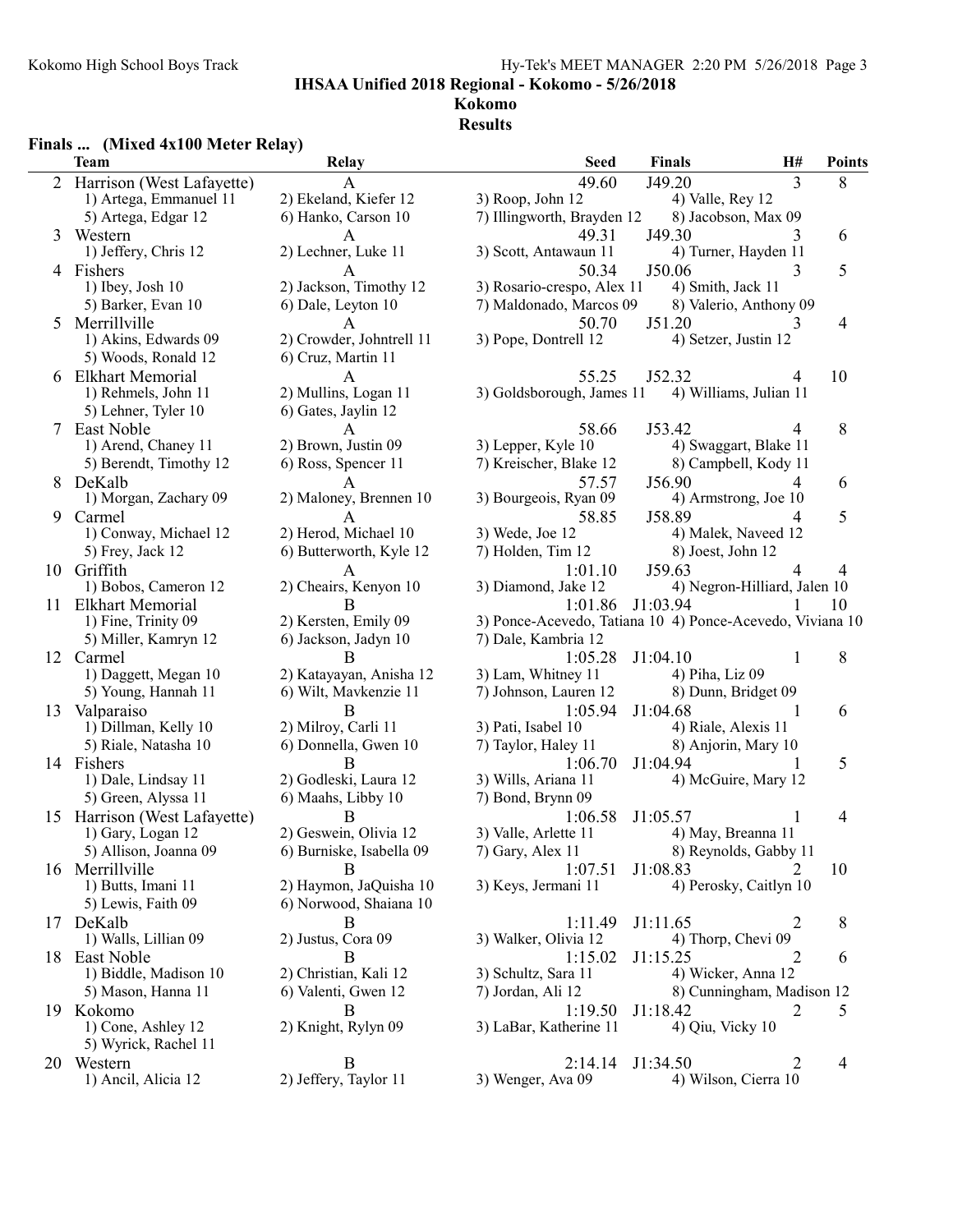### Kokomo High School Boys Track Hy-Tek's MEET MANAGER 2:20 PM 5/26/2018 Page 3

IHSAA Unified 2018 Regional - Kokomo - 5/26/2018

#### Kokomo Results

# Finals ... (Mixed 4x100 Meter Relay)<br>Team

|    | <b>Team</b>                  | Relay                     | <b>Seed</b>                                               | Finals                 | H#                           | Points |
|----|------------------------------|---------------------------|-----------------------------------------------------------|------------------------|------------------------------|--------|
|    | 2 Harrison (West Lafayette)  |                           | 49.60                                                     | J49.20                 | 3                            | 8      |
|    | 1) Artega, Emmanuel 11       | 2) Ekeland, Kiefer 12     | 3) Roop, John 12                                          | 4) Valle, Rey 12       |                              |        |
|    | 5) Artega, Edgar 12          | 6) Hanko, Carson 10       | 7) Illingworth, Brayden 12                                | 8) Jacobson, Max 09    |                              |        |
| 3  | Western                      | A                         | 49.31                                                     | J49.30                 | 3                            | 6      |
|    | 1) Jeffery, Chris 12         | 2) Lechner, Luke 11       | 3) Scott, Antawaun 11                                     | 4) Turner, Hayden 11   |                              |        |
|    | 4 Fishers                    | A                         | 50.34                                                     | J50.06                 | 3                            | 5      |
|    | $1)$ Ibey, Josh $10$         | 2) Jackson, Timothy 12    | 3) Rosario-crespo, Alex 11                                | 4) Smith, Jack 11      |                              |        |
|    | 5) Barker, Evan 10           | 6) Dale, Leyton 10        | 7) Maldonado, Marcos 09                                   | 8) Valerio, Anthony 09 |                              |        |
| 5  | Merrillville                 | A                         | 50.70                                                     | J51.20                 | 3                            | 4      |
|    | 1) Akins, Edwards 09         | 2) Crowder, Johntrell 11  | 3) Pope, Dontrell 12                                      | 4) Setzer, Justin 12   |                              |        |
|    | 5) Woods, Ronald 12          | 6) Cruz, Martin 11        |                                                           |                        |                              |        |
|    | 6 Elkhart Memorial           | A                         | 55.25                                                     | J52.32                 | 4                            | 10     |
|    | 1) Rehmels, John 11          | 2) Mullins, Logan 11      | 3) Goldsborough, James 11                                 | 4) Williams, Julian 11 |                              |        |
|    | 5) Lehner, Tyler 10          | 6) Gates, Jaylin 12       |                                                           |                        |                              |        |
|    | 7 East Noble                 | A                         | 58.66                                                     | J53.42                 | 4                            | 8      |
|    | 1) Arend, Chaney 11          | 2) Brown, Justin 09       | 3) Lepper, Kyle 10                                        | 4) Swaggart, Blake 11  |                              |        |
|    | 5) Berendt, Timothy 12       | 6) Ross, Spencer 11       | 7) Kreischer, Blake 12                                    | 8) Campbell, Kody 11   |                              |        |
|    | 8 DeKalb                     |                           |                                                           | J56.90                 | 4                            |        |
|    | 1) Morgan, Zachary 09        | 2) Maloney, Brennen 10    | 57.57<br>3) Bourgeois, Ryan 09                            | 4) Armstrong, Joe 10   |                              | 6      |
|    |                              |                           |                                                           |                        |                              |        |
| 9  | Carmel                       | A<br>2) Herod, Michael 10 | 58.85                                                     | J58.89                 | 4                            | 5      |
|    | 1) Conway, Michael 12        |                           | 3) Wede, Joe 12                                           | 4) Malek, Naveed 12    |                              |        |
|    | 5) Frey, Jack 12             | 6) Butterworth, Kyle 12   | 7) Holden, Tim 12                                         | 8) Joest, John 12      |                              |        |
|    | 10 Griffith                  | A                         | 1:01.10                                                   | J59.63                 |                              | 4      |
|    | 1) Bobos, Cameron 12         | 2) Cheairs, Kenyon 10     | 3) Diamond, Jake 12                                       |                        | 4) Negron-Hilliard, Jalen 10 |        |
| 11 | <b>Elkhart Memorial</b>      | B                         | 1:01.86                                                   | J1:03.94               |                              | 10     |
|    | 1) Fine, Trinity 09          | 2) Kersten, Emily 09      | 3) Ponce-Acevedo, Tatiana 10 4) Ponce-Acevedo, Viviana 10 |                        |                              |        |
|    | 5) Miller, Kamryn 12         | 6) Jackson, Jadyn 10      | 7) Dale, Kambria 12                                       |                        |                              |        |
|    | 12 Carmel                    | В                         | 1:05.28                                                   | J1:04.10               | 1                            | 8      |
|    | 1) Daggett, Megan 10         | 2) Katayayan, Anisha 12   | 3) Lam, Whitney 11                                        | 4) Piha, Liz 09        |                              |        |
|    | 5) Young, Hannah 11          | 6) Wilt, Mavkenzie 11     | 7) Johnson, Lauren 12                                     | 8) Dunn, Bridget 09    |                              |        |
| 13 | Valparaiso                   | B                         | 1:05.94                                                   | J1:04.68               | 1                            | 6      |
|    | 1) Dillman, Kelly 10         | 2) Milroy, Carli 11       | 3) Pati, Isabel 10                                        | 4) Riale, Alexis 11    |                              |        |
|    | 5) Riale, Natasha 10         | 6) Donnella, Gwen 10      | 7) Taylor, Haley 11                                       | 8) Anjorin, Mary 10    |                              |        |
|    | 14 Fishers                   | B                         | 1:06.70                                                   | J1:04.94               |                              | 5      |
|    | 1) Dale, Lindsay 11          | 2) Godleski, Laura 12     | 3) Wills, Ariana 11                                       | 4) McGuire, Mary 12    |                              |        |
|    | 5) Green, Alyssa 11          | 6) Maahs, Libby 10        | 7) Bond, Brynn 09                                         |                        |                              |        |
|    | 15 Harrison (West Lafayette) |                           | 1:06.58                                                   | J1:05.57               |                              | 4      |
|    | 1) Gary, Logan 12            | 2) Geswein, Olivia 12     | 3) Valle, Arlette 11                                      | 4) May, Breanna 11     |                              |        |
|    | 5) Allison, Joanna 09        | 6) Burniske, Isabella 09  | 7) Gary, Alex 11 8) Reynolds, Gabby 11                    |                        |                              |        |
|    | 16 Merrillville              | B                         | 1:07.51                                                   | J1:08.83               | 2                            | 10     |
|    | 1) Butts, Imani 11           | 2) Haymon, JaQuisha 10    | 3) Keys, Jermani 11                                       | 4) Perosky, Caitlyn 10 |                              |        |
|    | 5) Lewis, Faith 09           | 6) Norwood, Shaiana 10    |                                                           |                        |                              |        |
| 17 | DeKalb                       | B                         | 1:11.49                                                   | J1:11.65               | 2                            | 8      |
|    | 1) Walls, Lillian 09         | 2) Justus, Cora 09        | 3) Walker, Olivia 12                                      | 4) Thorp, Chevi 09     |                              |        |
|    | 18 East Noble                | В                         | 1:15.02                                                   | J1:15.25               | 2                            | 6      |
|    | 1) Biddle, Madison 10        | 2) Christian, Kali 12     | 3) Schultz, Sara 11                                       | 4) Wicker, Anna 12     |                              |        |
|    | 5) Mason, Hanna 11           | 6) Valenti, Gwen 12       | 7) Jordan, Ali 12                                         |                        | 8) Cunningham, Madison 12    |        |
|    | 19 Kokomo                    | B                         | 1:19.50                                                   | J1:18.42               | 2                            | 5      |
|    | 1) Cone, Ashley 12           | 2) Knight, Rylyn 09       | 3) LaBar, Katherine 11                                    | 4) Qiu, Vicky 10       |                              |        |
|    | 5) Wyrick, Rachel 11         |                           |                                                           |                        |                              |        |
|    | 20 Western                   | B                         | 2:14.14                                                   | J1:34.50               | 2                            | 4      |
|    | 1) Ancil, Alicia 12          | 2) Jeffery, Taylor 11     | 3) Wenger, Ava 09                                         | 4) Wilson, Cierra 10   |                              |        |
|    |                              |                           |                                                           |                        |                              |        |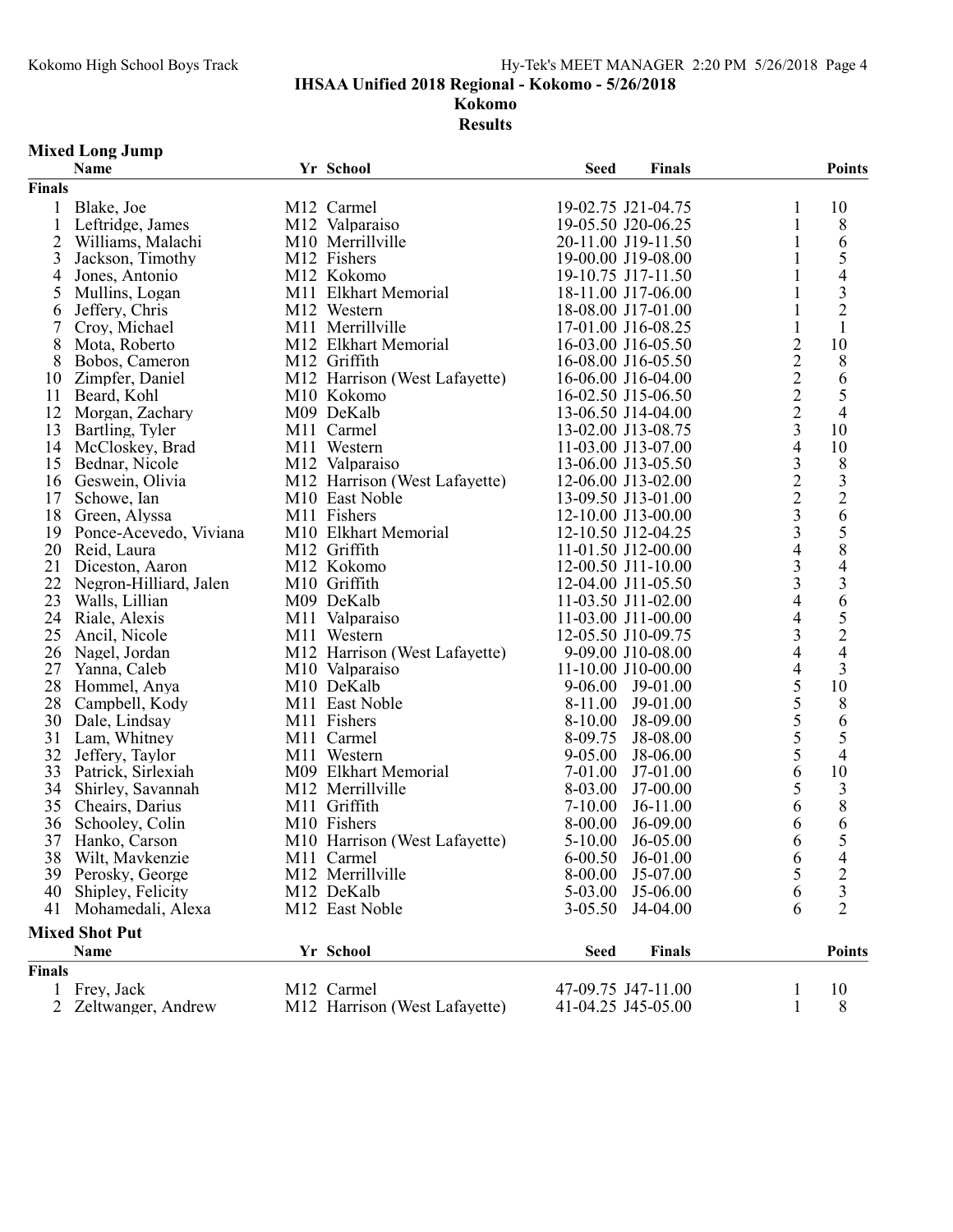IHSAA Unified 2018 Regional - Kokomo - 5/26/2018

Kokomo

Results

# Mixed Long Jump

|                | Name                   | Yr School                     | <b>Seed</b> | <b>Finals</b>      |                         | <b>Points</b>            |
|----------------|------------------------|-------------------------------|-------------|--------------------|-------------------------|--------------------------|
| <b>Finals</b>  |                        |                               |             |                    |                         |                          |
| 1              | Blake, Joe             | M12 Carmel                    |             | 19-02.75 J21-04.75 | 1                       | 10                       |
| $\mathbf{1}$   | Leftridge, James       | M12 Valparaiso                |             | 19-05.50 J20-06.25 | $\mathbf{1}$            | $8\,$                    |
| $\overline{2}$ | Williams, Malachi      | M10 Merrillville              |             | 20-11.00 J19-11.50 | 1                       | 6                        |
| 3              | Jackson, Timothy       | M12 Fishers                   |             | 19-00.00 J19-08.00 | 1                       | 5                        |
| 4              | Jones, Antonio         | M12 Kokomo                    |             | 19-10.75 J17-11.50 |                         | $\overline{\mathcal{L}}$ |
| 5              | Mullins, Logan         | M11 Elkhart Memorial          |             | 18-11.00 J17-06.00 | 1                       | $\overline{\mathbf{3}}$  |
| 6              | Jeffery, Chris         | M12 Western                   |             | 18-08.00 J17-01.00 | 1                       | $\overline{c}$           |
| 7              | Croy, Michael          | M11 Merrillville              |             | 17-01.00 J16-08.25 | $\mathbf{1}$            | $\mathbf{1}$             |
| 8              | Mota, Roberto          | M12 Elkhart Memorial          |             | 16-03.00 J16-05.50 | $\overline{2}$          | 10                       |
| 8              | Bobos, Cameron         | M12 Griffith                  |             | 16-08.00 J16-05.50 | $\overline{2}$          | 8                        |
| 10             | Zimpfer, Daniel        | M12 Harrison (West Lafayette) |             | 16-06.00 J16-04.00 | $\overline{2}$          | 6                        |
| 11             | Beard, Kohl            | M10 Kokomo                    |             | 16-02.50 J15-06.50 | $\overline{2}$          | 5                        |
| 12             | Morgan, Zachary        | M09 DeKalb                    |             | 13-06.50 J14-04.00 | $\overline{2}$          | $\overline{4}$           |
| 13             | Bartling, Tyler        | M11 Carmel                    |             | 13-02.00 J13-08.75 | $\overline{\mathbf{3}}$ | 10                       |
| 14             | McCloskey, Brad        | M11 Western                   |             | 11-03.00 J13-07.00 | 4                       | 10                       |
| 15             | Bednar, Nicole         | M12 Valparaiso                |             | 13-06.00 J13-05.50 | 3                       | 8                        |
| 16             | Geswein, Olivia        | M12 Harrison (West Lafayette) |             | 12-06.00 J13-02.00 | $\overline{2}$          |                          |
| 17             | Schowe, Ian            | M10 East Noble                |             | 13-09.50 J13-01.00 | $\overline{2}$          | $\frac{3}{2}$            |
| 18             | Green, Alyssa          | M11 Fishers                   |             | 12-10.00 J13-00.00 | $\overline{3}$          | 6                        |
| 19             | Ponce-Acevedo, Viviana | M10 Elkhart Memorial          |             | 12-10.50 J12-04.25 | $\overline{\mathbf{3}}$ | 5                        |
| 20             | Reid, Laura            | M12 Griffith                  |             | 11-01.50 J12-00.00 | 4                       | 8                        |
| 21             | Diceston, Aaron        | M12 Kokomo                    |             | 12-00.50 J11-10.00 | 3                       | $\overline{\mathcal{L}}$ |
| 22             | Negron-Hilliard, Jalen | M10 Griffith                  |             | 12-04.00 J11-05.50 | 3                       |                          |
| 23             | Walls, Lillian         | M09 DeKalb                    |             | 11-03.50 J11-02.00 | 4                       | $rac{3}{6}$              |
| 24             |                        | M11 Valparaiso                |             |                    | 4                       |                          |
| 25             | Riale, Alexis          |                               |             | 11-03.00 J11-00.00 | 3                       | $\frac{5}{2}$            |
|                | Ancil, Nicole          | M11 Western                   |             | 12-05.50 J10-09.75 | 4                       |                          |
| 26             | Nagel, Jordan          | M12 Harrison (West Lafayette) |             | 9-09.00 J10-08.00  |                         |                          |
| 27             | Yanna, Caleb           | M10 Valparaiso                |             | 11-10.00 J10-00.00 | 4                       | 3                        |
| 28             | Hommel, Anya           | M10 DeKalb                    |             | 9-06.00 J9-01.00   | 5                       | 10                       |
| 28             | Campbell, Kody         | M11 East Noble                | 8-11.00     | $J9-01.00$         | 5                       | 8                        |
| 30             | Dale, Lindsay          | M11 Fishers                   | 8-10.00     | J8-09.00           | 5                       | 6                        |
| 31             | Lam, Whitney           | M11 Carmel                    | 8-09.75     | J8-08.00           | 5                       | 5                        |
| 32             | Jeffery, Taylor        | M11 Western                   | 9-05.00     | J8-06.00           | 5                       | $\overline{4}$           |
| 33             | Patrick, Sirlexiah     | M09 Elkhart Memorial          | 7-01.00     | J7-01.00           | 6                       | 10                       |
| 34             | Shirley, Savannah      | M12 Merrillville              | 8-03.00     | $J7-00.00$         | 5                       | $\mathfrak{Z}$           |
| 35             | Cheairs, Darius        | M11 Griffith                  | $7-10.00$   | $J6-11.00$         | 6                       | 8                        |
| 36             | Schooley, Colin        | M10 Fishers                   | 8-00.00     | $J6-09.00$         | 6                       | 6                        |
| 37             | Hanko, Carson          | M10 Harrison (West Lafayette) | $5-10.00$   | $J6-05.00$         | 6                       | 5                        |
|                | 38 Wilt, Mavkenzie     | M11 Carmel                    |             | 6-00.50 J6-01.00   | 6                       | $\overline{4}$           |
| 39             | Perosky, George        | M12 Merrillville              | 8-00.00     | J5-07.00           | 5                       | $\overline{c}$           |
| 40             | Shipley, Felicity      | M12 DeKalb                    | 5-03.00     | J5-06.00           | 6                       | 3                        |
| 41             | Mohamedali, Alexa      | M12 East Noble                | $3 - 05.50$ | J4-04.00           | 6                       | $\overline{2}$           |
|                | <b>Mixed Shot Put</b>  |                               |             |                    |                         |                          |
|                | Name                   | Yr School                     | <b>Seed</b> | Finals             |                         | <b>Points</b>            |
| <b>Finals</b>  |                        |                               |             |                    |                         |                          |
| 1              | Frey, Jack             | M12 Carmel                    |             | 47-09.75 J47-11.00 | 1                       | 10                       |
| 2              | Zeltwanger, Andrew     | M12 Harrison (West Lafayette) |             | 41-04.25 J45-05.00 | 1                       | 8                        |